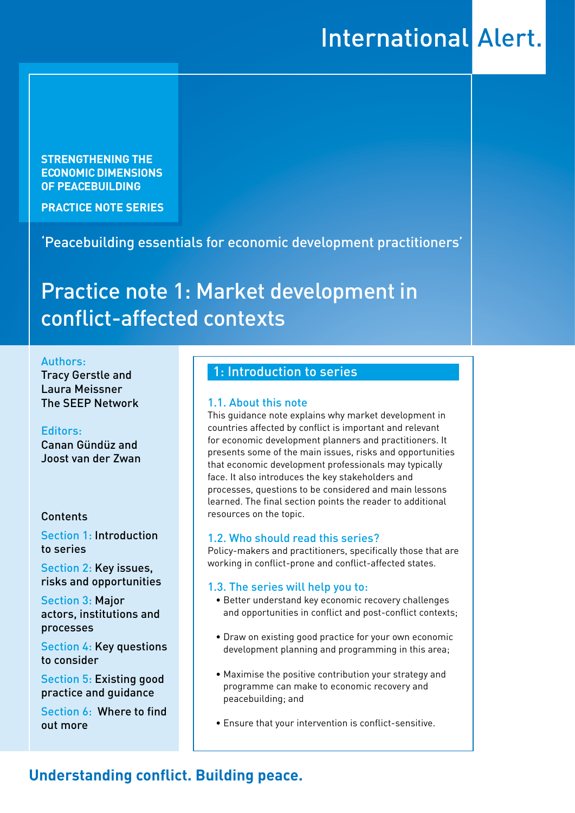# **International Alert.**

**STRENGTHENING THE ECONOMIC DIMENSIONS OF PEACEBUILDING** 

**PRACTICE NOTE SERIES**

'Peacebuilding essentials for economic development practitioners'

# Practice note 1: Market development in conflict-affected contexts

#### Authors:

Tracy Gerstle and Laura Meissner The SEEP Network

#### Editors:

Canan Gündüz and Joost van der Zwan

#### Contents

Section 1: Introduction to series

Section 2: Key issues, risks and opportunities

Section 3: Major actors, institutions and processes

Section 4: Key questions to consider

Section 5: Existing good practice and guidance

Section 6: Where to find out more

## 1: Introduction to series

#### 1.1. About this note

This guidance note explains why market development in countries affected by conflict is important and relevant for economic development planners and practitioners. It presents some of the main issues, risks and opportunities that economic development professionals may typically face. It also introduces the key stakeholders and processes, questions to be considered and main lessons learned. The final section points the reader to additional resources on the topic.

#### 1.2. Who should read this series?

Policy-makers and practitioners, specifically those that are working in conflict-prone and conflict-affected states.

#### 1.3. The series will help you to:

- Better understand key economic recovery challenges and opportunities in conflict and post-conflict contexts;
- Draw on existing good practice for your own economic development planning and programming in this area;
- Maximise the positive contribution your strategy and programme can make to economic recovery and peacebuilding; and
- Ensure that your intervention is conflict-sensitive.

# **Understanding conflict. Building peace.**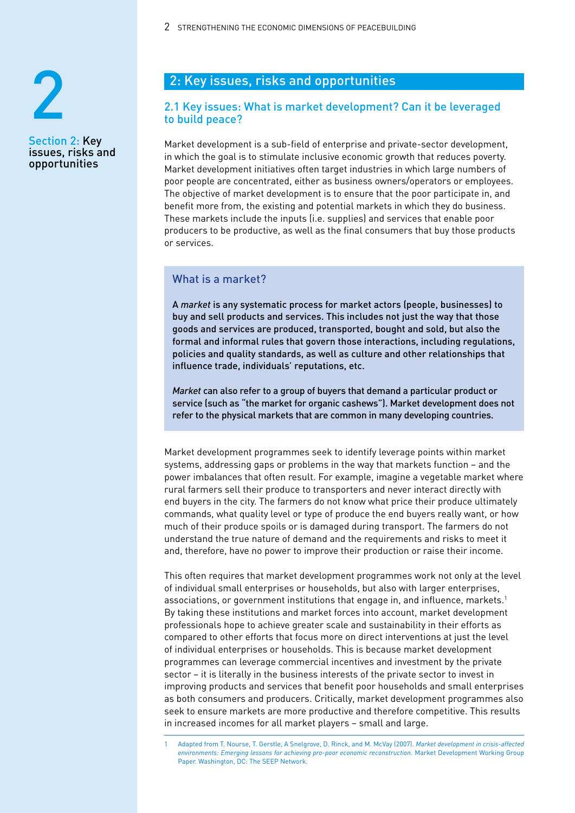2 STRENGTHENING THE ECONOMIC DIMENSIONS OF PEACEBUILDING



Section 2: Key issues, risks and opportunities

# 2: Key issues, risks and opportunities

#### 2.1 Key issues: What is market development? Can it be leveraged to build peace?

Market development is a sub-field of enterprise and private-sector development, in which the goal is to stimulate inclusive economic growth that reduces poverty. Market development initiatives often target industries in which large numbers of poor people are concentrated, either as business owners/operators or employees. The objective of market development is to ensure that the poor participate in, and benefit more from, the existing and potential markets in which they do business. These markets include the inputs (i.e. supplies) and services that enable poor producers to be productive, as well as the final consumers that buy those products or services.

#### What is a market?

A *market* is any systematic process for market actors (people, businesses) to buy and sell products and services. This includes not just the way that those goods and services are produced, transported, bought and sold, but also the formal and informal rules that govern those interactions, including regulations, policies and quality standards, as well as culture and other relationships that influence trade, individuals' reputations, etc.

*Market* can also refer to a group of buyers that demand a particular product or service (such as "the market for organic cashews"). Market development does not refer to the physical markets that are common in many developing countries.

Market development programmes seek to identify leverage points within market systems, addressing gaps or problems in the way that markets function – and the power imbalances that often result. For example, imagine a vegetable market where rural farmers sell their produce to transporters and never interact directly with end buyers in the city. The farmers do not know what price their produce ultimately commands, what quality level or type of produce the end buyers really want, or how much of their produce spoils or is damaged during transport. The farmers do not understand the true nature of demand and the requirements and risks to meet it and, therefore, have no power to improve their production or raise their income.

This often requires that market development programmes work not only at the level of individual small enterprises or households, but also with larger enterprises, associations, or government institutions that engage in, and influence, markets.1 By taking these institutions and market forces into account, market development professionals hope to achieve greater scale and sustainability in their efforts as compared to other efforts that focus more on direct interventions at just the level of individual enterprises or households. This is because market development programmes can leverage commercial incentives and investment by the private sector – it is literally in the business interests of the private sector to invest in improving products and services that benefit poor households and small enterprises as both consumers and producers. Critically, market development programmes also seek to ensure markets are more productive and therefore competitive. This results in increased incomes for all market players – small and large.

1 Adapted from T. Nourse, T. Gerstle, A Snelgrove, D. Rinck, and M. McVay (2007). *Market development in crisis-affected environments: Emerging lessons for achieving pro-poor economic reconstruction*. Market Development Working Group Paper. Washington, DC: The SEEP Network.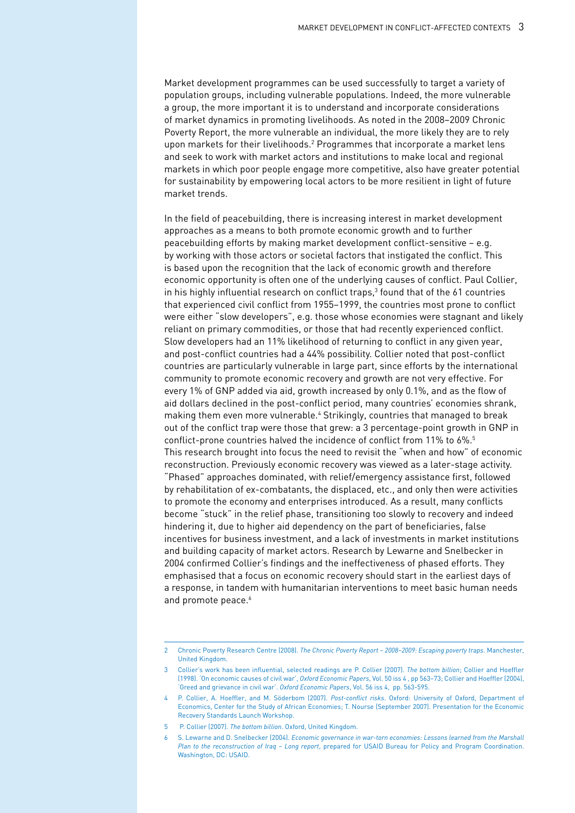Market development programmes can be used successfully to target a variety of population groups, including vulnerable populations. Indeed, the more vulnerable a group, the more important it is to understand and incorporate considerations of market dynamics in promoting livelihoods. As noted in the 2008–2009 Chronic Poverty Report, the more vulnerable an individual, the more likely they are to rely upon markets for their livelihoods.<sup>2</sup> Programmes that incorporate a market lens and seek to work with market actors and institutions to make local and regional markets in which poor people engage more competitive, also have greater potential for sustainability by empowering local actors to be more resilient in light of future market trends.

In the field of peacebuilding, there is increasing interest in market development approaches as a means to both promote economic growth and to further peacebuilding efforts by making market development conflict-sensitive – e.g. by working with those actors or societal factors that instigated the conflict. This is based upon the recognition that the lack of economic growth and therefore economic opportunity is often one of the underlying causes of conflict. Paul Collier, in his highly influential research on conflict traps,<sup>3</sup> found that of the 61 countries that experienced civil conflict from 1955–1999, the countries most prone to conflict were either "slow developers", e.g. those whose economies were stagnant and likely reliant on primary commodities, or those that had recently experienced conflict. Slow developers had an 11% likelihood of returning to conflict in any given year, and post-conflict countries had a 44% possibility. Collier noted that post-conflict countries are particularly vulnerable in large part, since efforts by the international community to promote economic recovery and growth are not very effective. For every 1% of GNP added via aid, growth increased by only 0.1%, and as the flow of aid dollars declined in the post-conflict period, many countries' economies shrank, making them even more vulnerable.<sup>4</sup> Strikingly, countries that managed to break out of the conflict trap were those that grew: a 3 percentage-point growth in GNP in conflict-prone countries halved the incidence of conflict from 11% to 6%.<sup>5</sup> This research brought into focus the need to revisit the "when and how" of economic reconstruction. Previously economic recovery was viewed as a later-stage activity. "Phased" approaches dominated, with relief/emergency assistance first, followed by rehabilitation of ex-combatants, the displaced, etc., and only then were activities to promote the economy and enterprises introduced. As a result, many conflicts become "stuck" in the relief phase, transitioning too slowly to recovery and indeed hindering it, due to higher aid dependency on the part of beneficiaries, false incentives for business investment, and a lack of investments in market institutions and building capacity of market actors. Research by Lewarne and Snelbecker in 2004 confirmed Collier's findings and the ineffectiveness of phased efforts. They emphasised that a focus on economic recovery should start in the earliest days of a response, in tandem with humanitarian interventions to meet basic human needs and promote peace.<sup>6</sup>

5 P. Collier (2007). *The bottom billion*. Oxford, United Kingdom.

<sup>2</sup> Chronic Poverty Research Centre (2008). *The Chronic Poverty Report – 2008–2009: Escaping poverty traps*. Manchester, United Kingdom.

<sup>3</sup> Collier's work has been influential, selected readings are P. Collier (2007). *The bottom billion*; Collier and Hoeffler (1998). 'On economic causes of civil war', *Oxford Economic Papers*, Vol. 50 iss 4 , pp 563–73; Collier and Hoeffler (2004), 'Greed and grievance in civil war'. *Oxford Economic Papers*, Vol. 56 iss 4, pp. 563-595.

<sup>4</sup> P. Collier, A. Hoeffler, and M. Söderbom (2007). *Post-conflict risks*. Oxford: University of Oxford, Department of Economics, Center for the Study of African Economies; T. Nourse (September 2007). Presentation for the Economic Recovery Standards Launch Workshop.

<sup>6</sup> S. Lewarne and D. Snelbecker (2004). *Economic governance in war-torn economies: Lessons learned from the Marshall Plan to the reconstruction of Iraq – Long report*, prepared for USAID Bureau for Policy and Program Coordination. Washington, DC: USAID.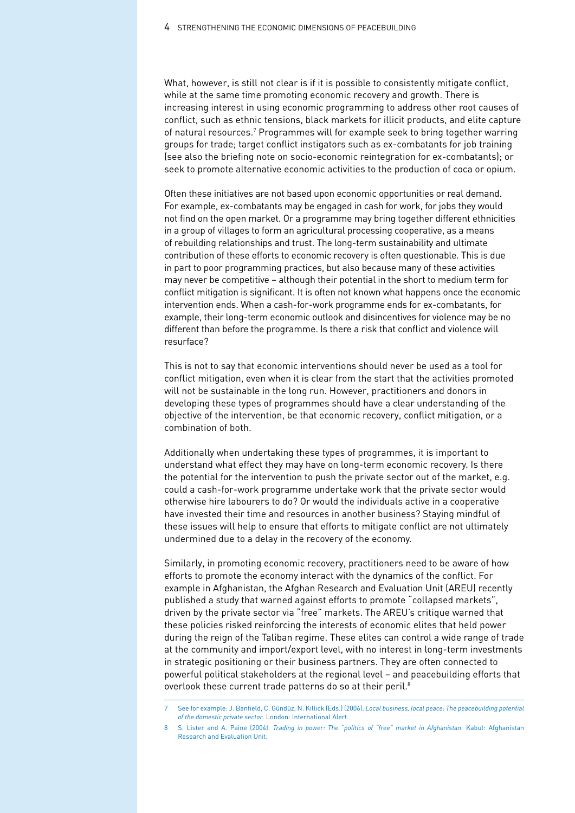What, however, is still not clear is if it is possible to consistently mitigate conflict, while at the same time promoting economic recovery and growth. There is increasing interest in using economic programming to address other root causes of conflict, such as ethnic tensions, black markets for illicit products, and elite capture of natural resources.<sup>7</sup> Programmes will for example seek to bring together warring groups for trade; target conflict instigators such as ex-combatants for job training (see also the briefing note on socio-economic reintegration for ex-combatants); or seek to promote alternative economic activities to the production of coca or opium.

Often these initiatives are not based upon economic opportunities or real demand. For example, ex-combatants may be engaged in cash for work, for jobs they would not find on the open market. Or a programme may bring together different ethnicities in a group of villages to form an agricultural processing cooperative, as a means of rebuilding relationships and trust. The long-term sustainability and ultimate contribution of these efforts to economic recovery is often questionable. This is due in part to poor programming practices, but also because many of these activities may never be competitive – although their potential in the short to medium term for conflict mitigation is significant. It is often not known what happens once the economic intervention ends. When a cash-for-work programme ends for ex-combatants, for example, their long-term economic outlook and disincentives for violence may be no different than before the programme. Is there a risk that conflict and violence will resurface?

This is not to say that economic interventions should never be used as a tool for conflict mitigation, even when it is clear from the start that the activities promoted will not be sustainable in the long run. However, practitioners and donors in developing these types of programmes should have a clear understanding of the objective of the intervention, be that economic recovery, conflict mitigation, or a combination of both.

Additionally when undertaking these types of programmes, it is important to understand what effect they may have on long-term economic recovery. Is there the potential for the intervention to push the private sector out of the market, e.g. could a cash-for-work programme undertake work that the private sector would otherwise hire labourers to do? Or would the individuals active in a cooperative have invested their time and resources in another business? Staying mindful of these issues will help to ensure that efforts to mitigate conflict are not ultimately undermined due to a delay in the recovery of the economy.

Similarly, in promoting economic recovery, practitioners need to be aware of how efforts to promote the economy interact with the dynamics of the conflict. For example in Afghanistan, the Afghan Research and Evaluation Unit (AREU) recently published a study that warned against efforts to promote "collapsed markets", driven by the private sector via "free" markets. The AREU's critique warned that these policies risked reinforcing the interests of economic elites that held power during the reign of the Taliban regime. These elites can control a wide range of trade at the community and import/export level, with no interest in long-term investments in strategic positioning or their business partners. They are often connected to powerful political stakeholders at the regional level – and peacebuilding efforts that overlook these current trade patterns do so at their peril.<sup>8</sup>

<sup>7</sup> See for example: J. Banfield, C. Gündüz, N. Killick (Eds.) (2006). *Local business, local peace: The peacebuilding potential of the domestic private sector*. London: International Alert.

<sup>8</sup> S. Lister and A. Paine (2004). *Trading in power: The "politics of "free" market in Afghanistan*. Kabul: Afghanistan Research and Evaluation Unit.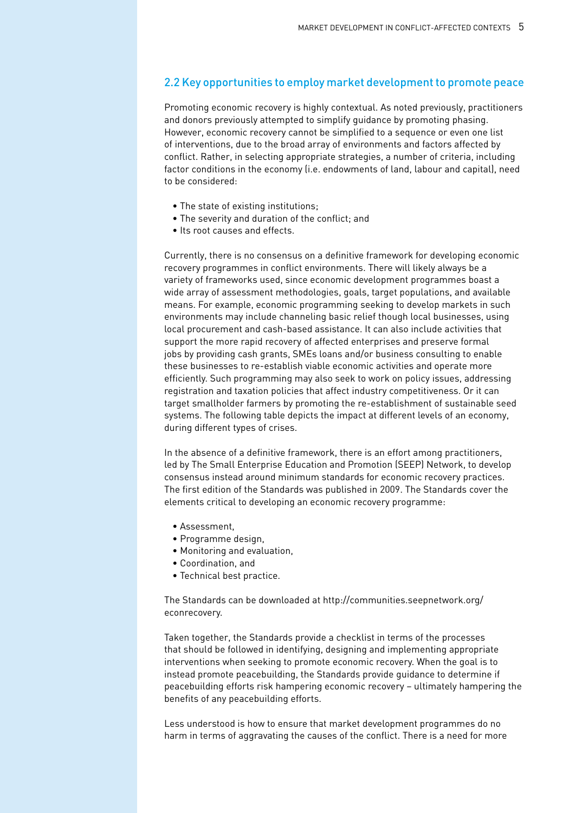#### 2.2 Key opportunities to employ market development to promote peace

Promoting economic recovery is highly contextual. As noted previously, practitioners and donors previously attempted to simplify guidance by promoting phasing. However, economic recovery cannot be simplified to a sequence or even one list of interventions, due to the broad array of environments and factors affected by conflict. Rather, in selecting appropriate strategies, a number of criteria, including factor conditions in the economy (i.e. endowments of land, labour and capital), need to be considered:

- The state of existing institutions;
- The severity and duration of the conflict; and
- Its root causes and effects.

Currently, there is no consensus on a definitive framework for developing economic recovery programmes in conflict environments. There will likely always be a variety of frameworks used, since economic development programmes boast a wide array of assessment methodologies, goals, target populations, and available means. For example, economic programming seeking to develop markets in such environments may include channeling basic relief though local businesses, using local procurement and cash-based assistance. It can also include activities that support the more rapid recovery of affected enterprises and preserve formal jobs by providing cash grants, SMEs loans and/or business consulting to enable these businesses to re-establish viable economic activities and operate more efficiently. Such programming may also seek to work on policy issues, addressing registration and taxation policies that affect industry competitiveness. Or it can target smallholder farmers by promoting the re-establishment of sustainable seed systems. The following table depicts the impact at different levels of an economy, during different types of crises.

In the absence of a definitive framework, there is an effort among practitioners, led by The Small Enterprise Education and Promotion (SEEP) Network, to develop consensus instead around minimum standards for economic recovery practices. The first edition of the Standards was published in 2009. The Standards cover the elements critical to developing an economic recovery programme:

- Assessment,
- Programme design,
- Monitoring and evaluation,
- Coordination, and
- Technical best practice.

The Standards can be downloaded at http://communities.seepnetwork.org/ econrecovery.

Taken together, the Standards provide a checklist in terms of the processes that should be followed in identifying, designing and implementing appropriate interventions when seeking to promote economic recovery. When the goal is to instead promote peacebuilding, the Standards provide guidance to determine if peacebuilding efforts risk hampering economic recovery – ultimately hampering the benefits of any peacebuilding efforts.

Less understood is how to ensure that market development programmes do no harm in terms of aggravating the causes of the conflict. There is a need for more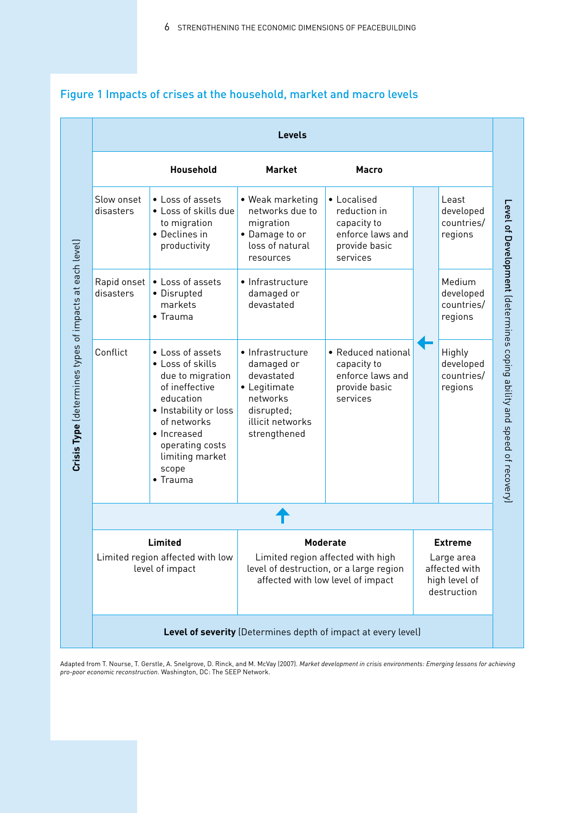|                                                                | Household                                                                                                                                                                                                         | <b>Market</b>                                                                                                                        | <b>Macro</b>                                                                                |                                                                               |                                              |
|----------------------------------------------------------------|-------------------------------------------------------------------------------------------------------------------------------------------------------------------------------------------------------------------|--------------------------------------------------------------------------------------------------------------------------------------|---------------------------------------------------------------------------------------------|-------------------------------------------------------------------------------|----------------------------------------------|
| Slow onset<br>disasters                                        | • Loss of assets<br>• Loss of skills due<br>to migration<br>• Declines in<br>productivity                                                                                                                         | • Weak marketing<br>networks due to<br>migration<br>• Damage to or<br>loss of natural<br>resources                                   | • Localised<br>reduction in<br>capacity to<br>enforce laws and<br>provide basic<br>services |                                                                               | Least<br>developed<br>countries/<br>regions  |
| Rapid onset<br>disasters                                       | • Loss of assets<br>• Disrupted<br>markets<br>• Trauma                                                                                                                                                            | • Infrastructure<br>damaged or<br>devastated                                                                                         |                                                                                             |                                                                               | Medium<br>developed<br>countries/<br>regions |
| Conflict                                                       | • Loss of assets<br>• Loss of skills<br>due to migration<br>of ineffective<br>education<br>• Instability or loss<br>of networks<br>• Increased<br>operating costs<br>limiting market<br>scope<br>$\bullet$ Trauma | • Infrastructure<br>damaged or<br>devastated<br>• Legitimate<br>networks<br>disrupted;<br>illicit networks<br>strengthened           | • Reduced national<br>capacity to<br>enforce laws and<br>provide basic<br>services          |                                                                               | Highly<br>developed<br>countries/<br>regions |
|                                                                |                                                                                                                                                                                                                   |                                                                                                                                      |                                                                                             |                                                                               |                                              |
| Limited<br>Limited region affected with low<br>level of impact |                                                                                                                                                                                                                   | <b>Moderate</b><br>Limited region affected with high<br>level of destruction, or a large region<br>affected with low level of impact |                                                                                             | <b>Extreme</b><br>Large area<br>affected with<br>high level of<br>destruction |                                              |
|                                                                |                                                                                                                                                                                                                   |                                                                                                                                      | Level of severity (Determines depth of impact at every level)                               |                                                                               |                                              |

# Figure 1 Impacts of crises at the household, market and macro levels

Adapted from T. Nourse, T. Gerstle, A. Snelgrove, D. Rinck, and M. McVay (2007). *Market development in crisis environments: Emerging lessons for achieving*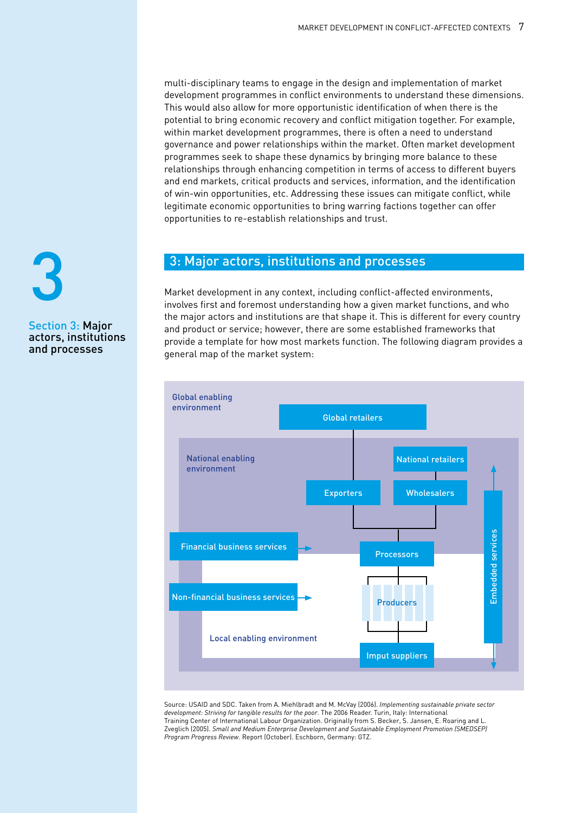multi-disciplinary teams to engage in the design and implementation of market development programmes in conflict environments to understand these dimensions. This would also allow for more opportunistic identification of when there is the potential to bring economic recovery and conflict mitigation together. For example, within market development programmes, there is often a need to understand governance and power relationships within the market. Often market development programmes seek to shape these dynamics by bringing more balance to these relationships through enhancing competition in terms of access to different buyers and end markets, critical products and services, information, and the identification of win-win opportunities, etc. Addressing these issues can mitigate conflict, while legitimate economic opportunities to bring warring factions together can offer opportunities to re-establish relationships and trust.

### 3: Major actors, institutions and processes

Market development in any context, including conflict-affected environments, involves first and foremost understanding how a given market functions, and who the major actors and institutions are that shape it. This is different for every country and product or service; however, there are some established frameworks that provide a template for how most markets function. The following diagram provides a general map of the market system:



Source: USAID and SDC. Taken from A. Miehlbradt and M. McVay (2006). *Implementing sustainable private sector development: Striving for tangible results for the poor*. The 2006 Reader. Turin, Italy: International Training Center of International Labour Organization. Originally from S. Becker, S. Jansen, E. Roaring and L. Zveglich (2005). *Small and Medium Enterprise Development and Sustainable Employment Promotion (SMEDSEP) Program Progress Review*. Report (October). Eschborn, Germany: GTZ.

# Section 3: Major 3

# actors, institutions and processes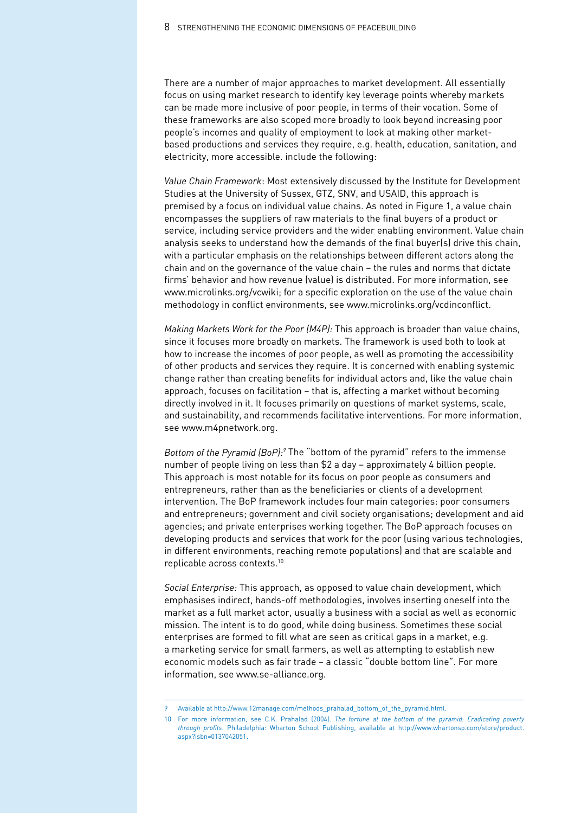There are a number of major approaches to market development. All essentially focus on using market research to identify key leverage points whereby markets can be made more inclusive of poor people, in terms of their vocation. Some of these frameworks are also scoped more broadly to look beyond increasing poor people's incomes and quality of employment to look at making other marketbased productions and services they require, e.g. health, education, sanitation, and electricity, more accessible. include the following:

*Value Chain Framework*: Most extensively discussed by the Institute for Development Studies at the University of Sussex, GTZ, SNV, and USAID, this approach is premised by a focus on individual value chains. As noted in Figure 1, a value chain encompasses the suppliers of raw materials to the final buyers of a product or service, including service providers and the wider enabling environment. Value chain analysis seeks to understand how the demands of the final buyer(s) drive this chain, with a particular emphasis on the relationships between different actors along the chain and on the governance of the value chain – the rules and norms that dictate firms' behavior and how revenue (value) is distributed. For more information, see www.microlinks.org/vcwiki; for a specific exploration on the use of the value chain methodology in conflict environments, see www.microlinks.org/vcdinconflict.

*Making Markets Work for the Poor (M4P):* This approach is broader than value chains, since it focuses more broadly on markets. The framework is used both to look at how to increase the incomes of poor people, as well as promoting the accessibility of other products and services they require. It is concerned with enabling systemic change rather than creating benefits for individual actors and, like the value chain approach, focuses on facilitation – that is, affecting a market without becoming directly involved in it. It focuses primarily on questions of market systems, scale, and sustainability, and recommends facilitative interventions. For more information, see www.m4pnetwork.org.

*Bottom of the Pyramid (BoP):9* The "bottom of the pyramid" refers to the immense number of people living on less than \$2 a day – approximately 4 billion people. This approach is most notable for its focus on poor people as consumers and entrepreneurs, rather than as the beneficiaries or clients of a development intervention. The BoP framework includes four main categories: poor consumers and entrepreneurs; government and civil society organisations; development and aid agencies; and private enterprises working together. The BoP approach focuses on developing products and services that work for the poor (using various technologies, in different environments, reaching remote populations) and that are scalable and replicable across contexts.<sup>10</sup>

*Social Enterprise:* This approach, as opposed to value chain development, which emphasises indirect, hands-off methodologies, involves inserting oneself into the market as a full market actor, usually a business with a social as well as economic mission. The intent is to do good, while doing business. Sometimes these social enterprises are formed to fill what are seen as critical gaps in a market, e.g. a marketing service for small farmers, as well as attempting to establish new economic models such as fair trade – a classic "double bottom line". For more information, see www.se-alliance.org.

<sup>9</sup> Available at http://www.12manage.com/methods\_prahalad\_bottom\_of\_the\_pyramid.html.

<sup>10</sup> For more information, see C.K. Prahalad (2004). *The fortune at the bottom of the pyramid: Eradicating poverty through profits*. Philadelphia: Wharton School Publishing, available at http://www.whartonsp.com/store/product. aspx?isbn=0137042051.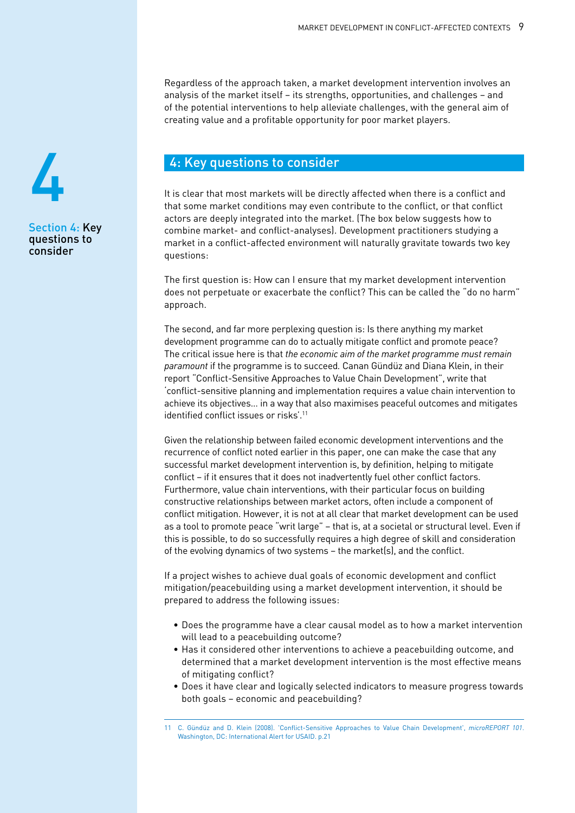Regardless of the approach taken, a market development intervention involves an analysis of the market itself – its strengths, opportunities, and challenges – and of the potential interventions to help alleviate challenges, with the general aim of creating value and a profitable opportunity for poor market players.

## 4: Key questions to consider

It is clear that most markets will be directly affected when there is a conflict and that some market conditions may even contribute to the conflict, or that conflict actors are deeply integrated into the market. (The box below suggests how to combine market- and conflict-analyses). Development practitioners studying a market in a conflict-affected environment will naturally gravitate towards two key questions:

The first question is: How can I ensure that my market development intervention does not perpetuate or exacerbate the conflict? This can be called the "do no harm" approach.

The second, and far more perplexing question is: Is there anything my market development programme can do to actually mitigate conflict and promote peace? The critical issue here is that *the economic aim of the market programme must remain paramount* if the programme is to succeed*.* Canan Gündüz and Diana Klein, in their report "Conflict-Sensitive Approaches to Value Chain Development", write that 'conflict-sensitive planning and implementation requires a value chain intervention to achieve its objectives… in a way that also maximises peaceful outcomes and mitigates identified conflict issues or risks'.<sup>11</sup>

Given the relationship between failed economic development interventions and the recurrence of conflict noted earlier in this paper, one can make the case that any successful market development intervention is, by definition, helping to mitigate conflict – if it ensures that it does not inadvertently fuel other conflict factors. Furthermore, value chain interventions, with their particular focus on building constructive relationships between market actors, often include a component of conflict mitigation. However, it is not at all clear that market development can be used as a tool to promote peace "writ large" – that is, at a societal or structural level. Even if this is possible, to do so successfully requires a high degree of skill and consideration of the evolving dynamics of two systems – the market(s), and the conflict.

If a project wishes to achieve dual goals of economic development and conflict mitigation/peacebuilding using a market development intervention, it should be prepared to address the following issues:

- Does the programme have a clear causal model as to how a market intervention will lead to a peacebuilding outcome?
- Has it considered other interventions to achieve a peacebuilding outcome, and determined that a market development intervention is the most effective means of mitigating conflict?
- Does it have clear and logically selected indicators to measure progress towards both goals – economic and peacebuilding?



Section 4: Key questions to consider

<sup>11</sup> C. Gündüz and D. Klein (2008). 'Conflict-Sensitive Approaches to Value Chain Development', *microREPORT 101*. Washington, DC: International Alert for USAID. p.21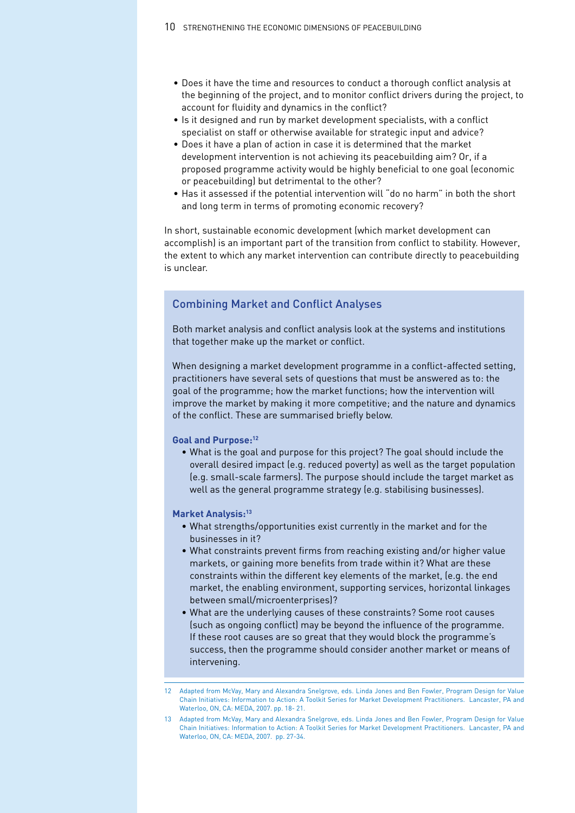- Does it have the time and resources to conduct a thorough conflict analysis at the beginning of the project, and to monitor conflict drivers during the project, to account for fluidity and dynamics in the conflict?
- Is it designed and run by market development specialists, with a conflict specialist on staff or otherwise available for strategic input and advice?
- Does it have a plan of action in case it is determined that the market development intervention is not achieving its peacebuilding aim? Or, if a proposed programme activity would be highly beneficial to one goal (economic or peacebuilding) but detrimental to the other?
- Has it assessed if the potential intervention will "do no harm" in both the short and long term in terms of promoting economic recovery?

In short, sustainable economic development (which market development can accomplish) is an important part of the transition from conflict to stability. However, the extent to which any market intervention can contribute directly to peacebuilding is unclear.

#### Combining Market and Conflict Analyses

Both market analysis and conflict analysis look at the systems and institutions that together make up the market or conflict.

When designing a market development programme in a conflict-affected setting, practitioners have several sets of questions that must be answered as to: the goal of the programme; how the market functions; how the intervention will improve the market by making it more competitive; and the nature and dynamics of the conflict. These are summarised briefly below.

#### **Goal and Purpose:12**

• What is the goal and purpose for this project? The goal should include the overall desired impact (e.g. reduced poverty) as well as the target population (e.g. small-scale farmers). The purpose should include the target market as well as the general programme strategy (e.g. stabilising businesses).

#### **Market Analysis:13**

- What strengths/opportunities exist currently in the market and for the businesses in it?
- What constraints prevent firms from reaching existing and/or higher value markets, or gaining more benefits from trade within it? What are these constraints within the different key elements of the market, (e.g. the end market, the enabling environment, supporting services, horizontal linkages between small/microenterprises)?
- What are the underlying causes of these constraints? Some root causes (such as ongoing conflict) may be beyond the influence of the programme. If these root causes are so great that they would block the programme's success, then the programme should consider another market or means of intervening.

<sup>12</sup> Adapted from McVay, Mary and Alexandra Snelgrove, eds. Linda Jones and Ben Fowler, Program Design for Value Chain Initiatives: Information to Action: A Toolkit Series for Market Development Practitioners. Lancaster, PA and Waterloo, ON, CA: MEDA, 2007. pp. 18- 21.

<sup>13</sup> Adapted from McVay, Mary and Alexandra Snelgrove, eds. Linda Jones and Ben Fowler, Program Design for Value Chain Initiatives: Information to Action: A Toolkit Series for Market Development Practitioners. Lancaster, PA and Waterloo, ON, CA: MEDA, 2007. pp. 27-34.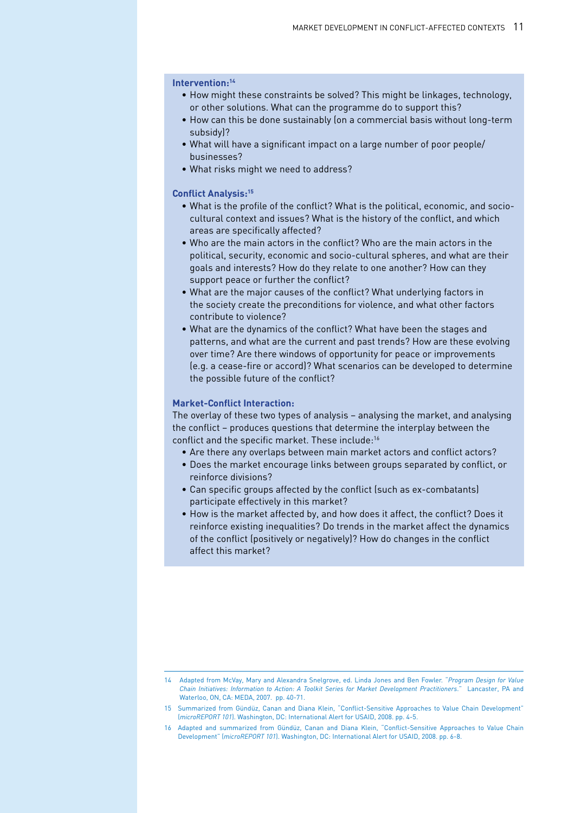#### **Intervention:14**

- How might these constraints be solved? This might be linkages, technology, or other solutions. What can the programme do to support this?
- How can this be done sustainably (on a commercial basis without long-term subsidy)?
- What will have a significant impact on a large number of poor people/ businesses?
- What risks might we need to address?

#### **Conflict Analysis:15**

- What is the profile of the conflict? What is the political, economic, and sociocultural context and issues? What is the history of the conflict, and which areas are specifically affected?
- Who are the main actors in the conflict? Who are the main actors in the political, security, economic and socio-cultural spheres, and what are their goals and interests? How do they relate to one another? How can they support peace or further the conflict?
- What are the major causes of the conflict? What underlying factors in the society create the preconditions for violence, and what other factors contribute to violence?
- What are the dynamics of the conflict? What have been the stages and patterns, and what are the current and past trends? How are these evolving over time? Are there windows of opportunity for peace or improvements (e.g. a cease-fire or accord)? What scenarios can be developed to determine the possible future of the conflict?

#### **Market-Conflict Interaction:**

The overlay of these two types of analysis – analysing the market, and analysing the conflict – produces questions that determine the interplay between the conflict and the specific market. These include:<sup>16</sup>

- Are there any overlaps between main market actors and conflict actors?
- Does the market encourage links between groups separated by conflict, or reinforce divisions?
- Can specific groups affected by the conflict (such as ex-combatants) participate effectively in this market?
- How is the market affected by, and how does it affect, the conflict? Does it reinforce existing inequalities? Do trends in the market affect the dynamics of the conflict (positively or negatively)? How do changes in the conflict affect this market?

<sup>14</sup> Adapted from McVay, Mary and Alexandra Snelgrove, ed. Linda Jones and Ben Fowler. "*Program Design for Value Chain Initiatives: Information to Action: A Toolkit Series for Market Development Practitioners*." Lancaster, PA and Waterloo, ON, CA: MEDA, 2007. pp. 40-71.

<sup>15</sup> Summarized from Gündüz, Canan and Diana Klein, "Conflict-Sensitive Approaches to Value Chain Development" (*microREPORT 101*). Washington, DC: International Alert for USAID, 2008. pp. 4-5.

<sup>16</sup> Adapted and summarized from Gündüz, Canan and Diana Klein, "Conflict-Sensitive Approaches to Value Chain Development" (*microREPORT 101*). Washington, DC: International Alert for USAID, 2008. pp. 6-8.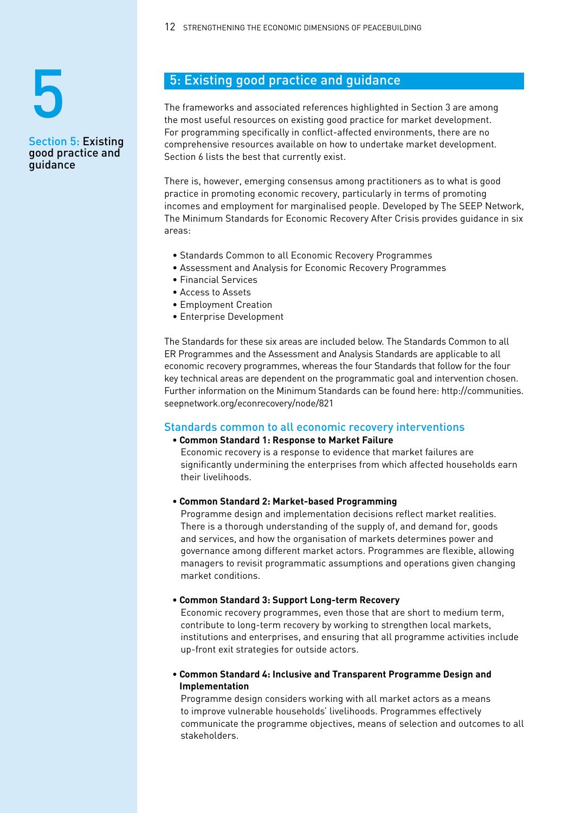# Section 5: Existing 5

good practice and

guidance

12 STRENGTHENING THE ECONOMIC DIMENSIONS OF PEACEBUILDING

## 5: Existing good practice and guidance

The frameworks and associated references highlighted in Section 3 are among the most useful resources on existing good practice for market development. For programming specifically in conflict-affected environments, there are no comprehensive resources available on how to undertake market development. Section 6 lists the best that currently exist.

There is, however, emerging consensus among practitioners as to what is good practice in promoting economic recovery, particularly in terms of promoting incomes and employment for marginalised people. Developed by The SEEP Network, The Minimum Standards for Economic Recovery After Crisis provides guidance in six areas:

- Standards Common to all Economic Recovery Programmes
- Assessment and Analysis for Economic Recovery Programmes
- Financial Services
- Access to Assets
- Employment Creation
- Enterprise Development

The Standards for these six areas are included below. The Standards Common to all ER Programmes and the Assessment and Analysis Standards are applicable to all economic recovery programmes, whereas the four Standards that follow for the four key technical areas are dependent on the programmatic goal and intervention chosen. Further information on the Minimum Standards can be found here: http://communities. seepnetwork.org/econrecovery/node/821

#### Standards common to all economic recovery interventions

#### **• Common Standard 1: Response to Market Failure**

Economic recovery is a response to evidence that market failures are significantly undermining the enterprises from which affected households earn their livelihoods.

#### **• Common Standard 2: Market-based Programming**

Programme design and implementation decisions reflect market realities. There is a thorough understanding of the supply of, and demand for, goods and services, and how the organisation of markets determines power and governance among different market actors. Programmes are flexible, allowing managers to revisit programmatic assumptions and operations given changing market conditions.

#### **• Common Standard 3: Support Long-term Recovery**

Economic recovery programmes, even those that are short to medium term, contribute to long-term recovery by working to strengthen local markets, institutions and enterprises, and ensuring that all programme activities include up-front exit strategies for outside actors.

#### **• Common Standard 4: Inclusive and Transparent Programme Design and Implementation**

Programme design considers working with all market actors as a means to improve vulnerable households' livelihoods. Programmes effectively communicate the programme objectives, means of selection and outcomes to all stakeholders.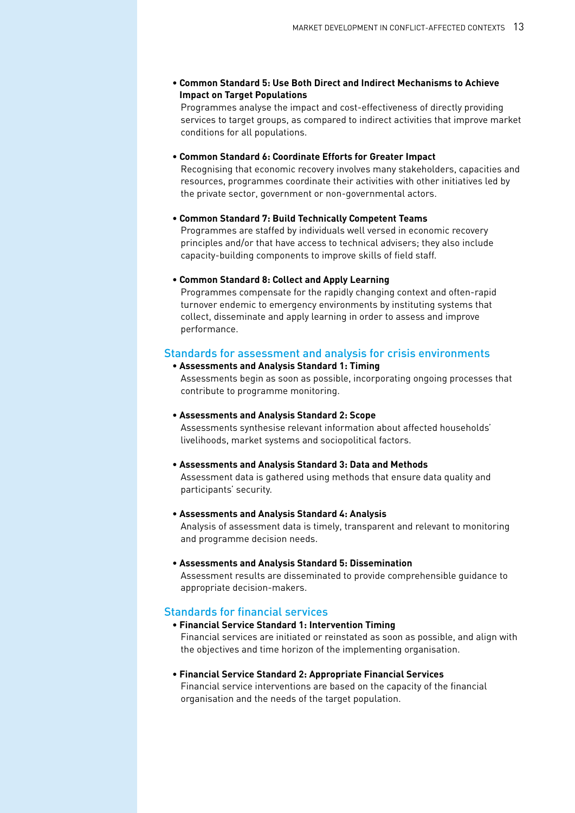**• Common Standard 5: Use Both Direct and Indirect Mechanisms to Achieve Impact on Target Populations**

Programmes analyse the impact and cost-effectiveness of directly providing services to target groups, as compared to indirect activities that improve market conditions for all populations.

#### **• Common Standard 6: Coordinate Efforts for Greater Impact**

Recognising that economic recovery involves many stakeholders, capacities and resources, programmes coordinate their activities with other initiatives led by the private sector, government or non-governmental actors.

#### **• Common Standard 7: Build Technically Competent Teams**

Programmes are staffed by individuals well versed in economic recovery principles and/or that have access to technical advisers; they also include capacity-building components to improve skills of field staff.

#### **• Common Standard 8: Collect and Apply Learning**

Programmes compensate for the rapidly changing context and often-rapid turnover endemic to emergency environments by instituting systems that collect, disseminate and apply learning in order to assess and improve performance.

#### Standards for assessment and analysis for crisis environments

#### **• Assessments and Analysis Standard 1: Timing**

Assessments begin as soon as possible, incorporating ongoing processes that contribute to programme monitoring.

#### **• Assessments and Analysis Standard 2: Scope**

Assessments synthesise relevant information about affected households' livelihoods, market systems and sociopolitical factors.

#### **• Assessments and Analysis Standard 3: Data and Methods**

Assessment data is gathered using methods that ensure data quality and participants' security.

#### **• Assessments and Analysis Standard 4: Analysis**

Analysis of assessment data is timely, transparent and relevant to monitoring and programme decision needs.

#### **• Assessments and Analysis Standard 5: Dissemination**

Assessment results are disseminated to provide comprehensible guidance to appropriate decision-makers.

#### Standards for financial services

#### **• Financial Service Standard 1: Intervention Timing** Financial services are initiated or reinstated as soon as possible, and align with the objectives and time horizon of the implementing organisation.

#### **• Financial Service Standard 2: Appropriate Financial Services** Financial service interventions are based on the capacity of the financial organisation and the needs of the target population.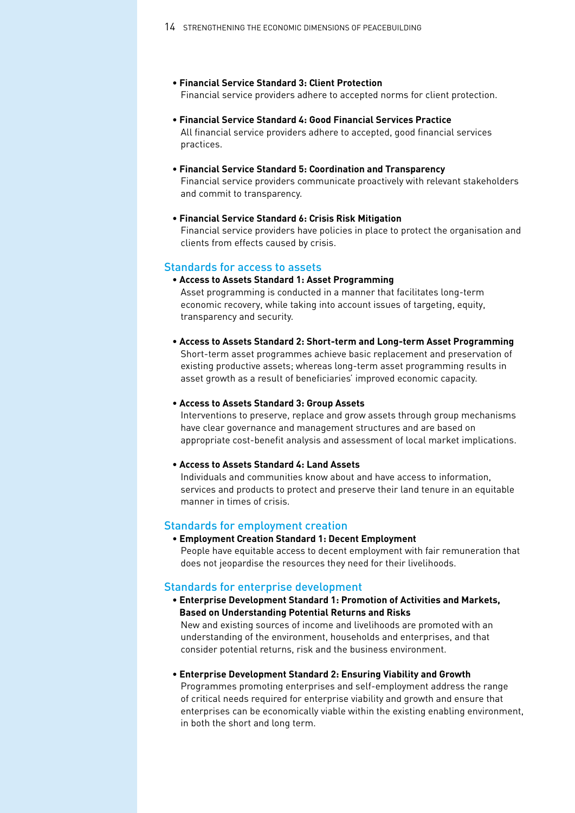- **Financial Service Standard 3: Client Protection** Financial service providers adhere to accepted norms for client protection.
- **Financial Service Standard 4: Good Financial Services Practice** All financial service providers adhere to accepted, good financial services practices.
- **Financial Service Standard 5: Coordination and Transparency** Financial service providers communicate proactively with relevant stakeholders and commit to transparency.
- **Financial Service Standard 6: Crisis Risk Mitigation** Financial service providers have policies in place to protect the organisation and clients from effects caused by crisis.

#### Standards for access to assets

**• Access to Assets Standard 1: Asset Programming**

Asset programming is conducted in a manner that facilitates long-term economic recovery, while taking into account issues of targeting, equity, transparency and security.

**• Access to Assets Standard 2: Short-term and Long-term Asset Programming** Short-term asset programmes achieve basic replacement and preservation of existing productive assets; whereas long-term asset programming results in asset growth as a result of beneficiaries' improved economic capacity.

#### **• Access to Assets Standard 3: Group Assets**

Interventions to preserve, replace and grow assets through group mechanisms have clear governance and management structures and are based on appropriate cost-benefit analysis and assessment of local market implications.

#### **• Access to Assets Standard 4: Land Assets**

Individuals and communities know about and have access to information, services and products to protect and preserve their land tenure in an equitable manner in times of crisis.

#### Standards for employment creation

**• Employment Creation Standard 1: Decent Employment** People have equitable access to decent employment with fair remuneration that does not jeopardise the resources they need for their livelihoods.

#### Standards for enterprise development

- **Enterprise Development Standard 1: Promotion of Activities and Markets, Based on Understanding Potential Returns and Risks** New and existing sources of income and livelihoods are promoted with an understanding of the environment, households and enterprises, and that consider potential returns, risk and the business environment.
- **Enterprise Development Standard 2: Ensuring Viability and Growth**

Programmes promoting enterprises and self-employment address the range of critical needs required for enterprise viability and growth and ensure that enterprises can be economically viable within the existing enabling environment, in both the short and long term.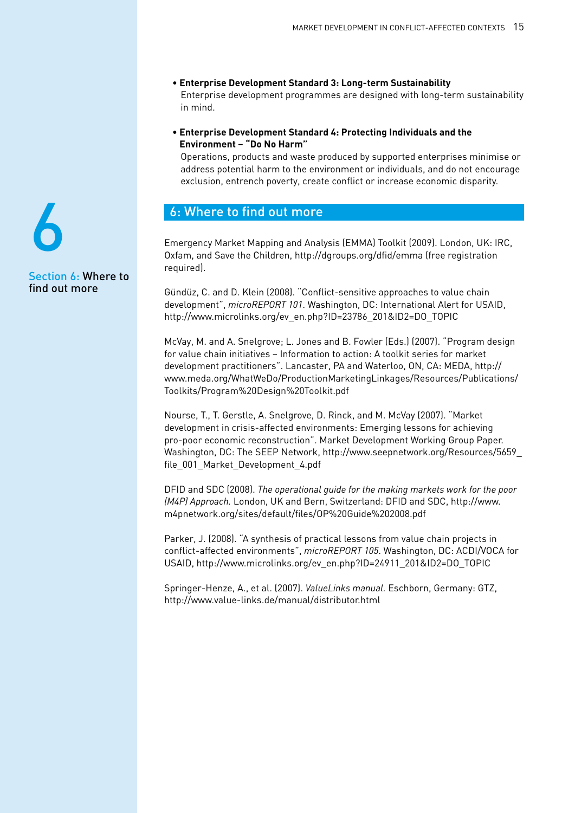- **Enterprise Development Standard 3: Long-term Sustainability** Enterprise development programmes are designed with long-term sustainability in mind.
- **Enterprise Development Standard 4: Protecting Individuals and the Environment – "Do No Harm"**

Operations, products and waste produced by supported enterprises minimise or address potential harm to the environment or individuals, and do not encourage exclusion, entrench poverty, create conflict or increase economic disparity.

#### 6: Where to find out more

Emergency Market Mapping and Analysis (EMMA) Toolkit (2009). London, UK: IRC, Oxfam, and Save the Children, http://dgroups.org/dfid/emma (free registration required).

Gündüz, C. and D. Klein (2008). "Conflict-sensitive approaches to value chain development", *microREPORT 101*. Washington, DC: International Alert for USAID, http://www.microlinks.org/ev\_en.php?ID=23786\_201&ID2=DO\_TOPIC

McVay, M. and A. Snelgrove; L. Jones and B. Fowler (Eds.) (2007). "Program design for value chain initiatives – Information to action: A toolkit series for market development practitioners". Lancaster, PA and Waterloo, ON, CA: MEDA, http:// www.meda.org/WhatWeDo/ProductionMarketingLinkages/Resources/Publications/ Toolkits/Program%20Design%20Toolkit.pdf

Nourse, T., T. Gerstle, A. Snelgrove, D. Rinck, and M. McVay (2007). "Market development in crisis-affected environments: Emerging lessons for achieving pro-poor economic reconstruction". Market Development Working Group Paper. Washington, DC: The SEEP Network, http://www.seepnetwork.org/Resources/5659\_ file\_001\_Market\_Development\_4.pdf

DFID and SDC (2008). *The operational guide for the making markets work for the poor (M4P) Approach.* London, UK and Bern, Switzerland: DFID and SDC, http://www. m4pnetwork.org/sites/default/files/OP%20Guide%202008.pdf

Parker, J. (2008). "A synthesis of practical lessons from value chain projects in conflict-affected environments", *microREPORT 105*. Washington, DC: ACDI/VOCA for USAID, http://www.microlinks.org/ev\_en.php?ID=24911\_201&ID2=DO\_TOPIC

Springer-Henze, A., et al. (2007). *ValueLinks manual.* Eschborn, Germany: GTZ, http://www.value-links.de/manual/distributor.html

Section 6: Where to find out more 6